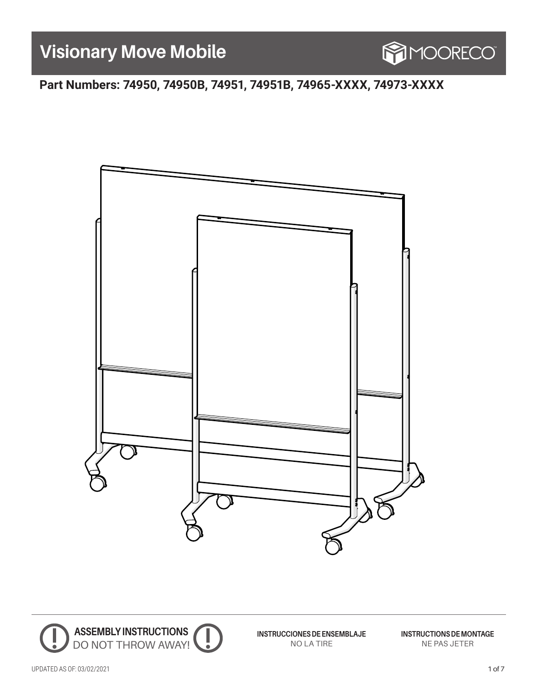# **Visionary Move Mobile**



**Part Numbers: 74950, 74950B, 74951, 74951B, 74965-XXXX, 74973-XXXX**





**INSTRUCCIONES DE ENSEMBLAJE** NO LA TIRE

**INSTRUCTIONS DE MONTAGE** NE PAS JETER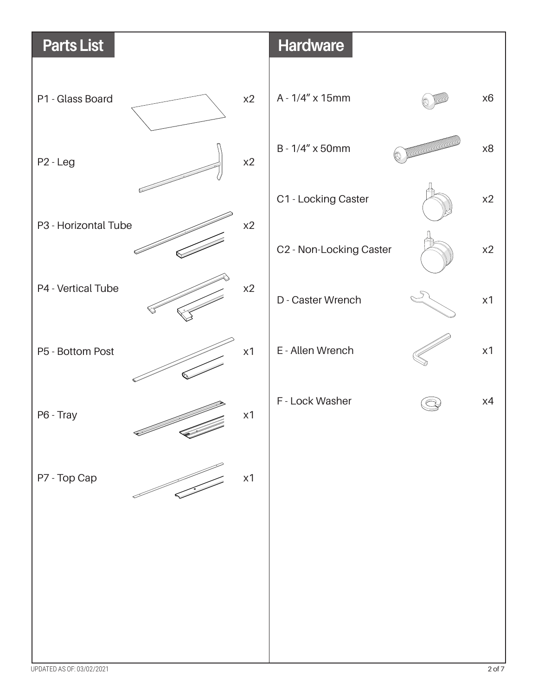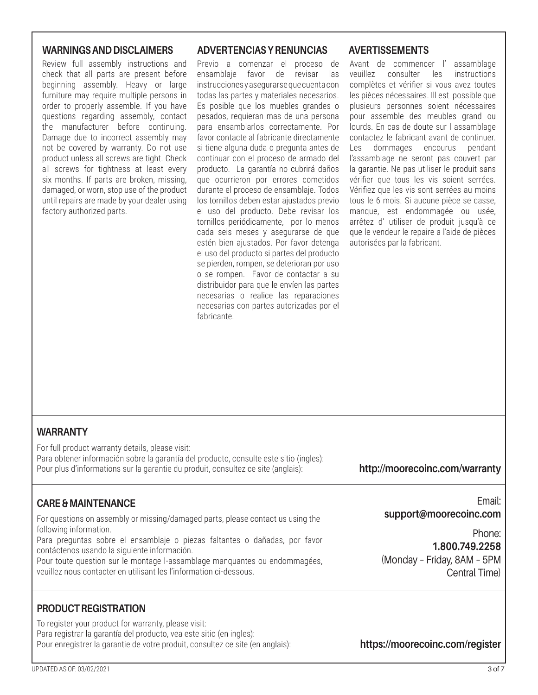#### **WARNINGS AND DISCLAIMERS**

Review full assembly instructions and check that all parts are present before beginning assembly. Heavy or large furniture may require multiple persons in order to properly assemble. If you have questions regarding assembly, contact the manufacturer before continuing. Damage due to incorrect assembly may not be covered by warranty. Do not use product unless all screws are tight. Check all screws for tightness at least every six months. If parts are broken, missing, damaged, or worn, stop use of the product until repairs are made by your dealer using factory authorized parts.

#### **ADVERTENCIAS Y RENUNCIAS AVERTISSEMENTS**

Previo a comenzar el proceso de ensamblaje favor de revisar las instrucciones y asegurarse que cuenta con todas las partes y materiales necesarios. Es posible que los muebles grandes o pesados, requieran mas de una persona para ensamblarlos correctamente. Por favor contacte al fabricante directamente si tiene alguna duda o pregunta antes de continuar con el proceso de armado del producto. La garantía no cubrirá daños que ocurrieron por errores cometidos durante el proceso de ensamblaje. Todos los tornillos deben estar ajustados previo el uso del producto. Debe revisar los tornillos periódicamente, por lo menos cada seis meses y asegurarse de que estén bien ajustados. Por favor detenga el uso del producto si partes del producto se pierden, rompen, se deterioran por uso o se rompen. Favor de contactar a su distribuidor para que le envíen las partes necesarias o realice las reparaciones necesarias con partes autorizadas por el fabricante.

Avant de commencer l' assamblage veuillez consulter les instructions complètes et vérifier si vous avez toutes les pièces nécessaires. Ill est possible que plusieurs personnes soient nécessaires pour assemble des meubles grand ou lourds. En cas de doute sur l assamblage contactez le fabricant avant de continuer. Les dommages encourus pendant l'assamblage ne seront pas couvert par la garantie. Ne pas utiliser le produit sans vérifier que tous les vis soient serrées. Vérifiez que les vis sont serrées au moins tous le 6 mois. Si aucune pièce se casse, manque, est endommagée ou usée, arrêtez d' utiliser de produit jusqu'à ce que le vendeur le repaire a l'aide de pièces autorisées par la fabricant.

#### **WARRANTY**

For full product warranty details, please visit: Para obtener información sobre la garantía del producto, consulte este sitio (ingles): Pour plus d'informations sur la garantie du produit, consultez ce site (anglais):

#### **http://moorecoinc.com/warranty**

### **CARE & MAINTENANCE**

For questions on assembly or missing/damaged parts, please contact us using the following information.

Para preguntas sobre el ensamblaje o piezas faltantes o dañadas, por favor contáctenos usando la siguiente información.

Pour toute question sur le montage l-assamblage manquantes ou endommagées, veuillez nous contacter en utilisant les l'information ci-dessous.

### **PRODUCT REGISTRATION**

To register your product for warranty, please visit: Para registrar la garantía del producto, vea este sitio (en ingles): Pour enregistrer la garantie de votre produit, consultez ce site (en anglais):

Email: **support@moorecoinc.com**

Phone: **1.800.749.2258** (Monday – Friday, 8AM – 5PM Central Time)

**https://moorecoinc.com/register**

UPDATED AS OF: 03/02/2021 3 of 7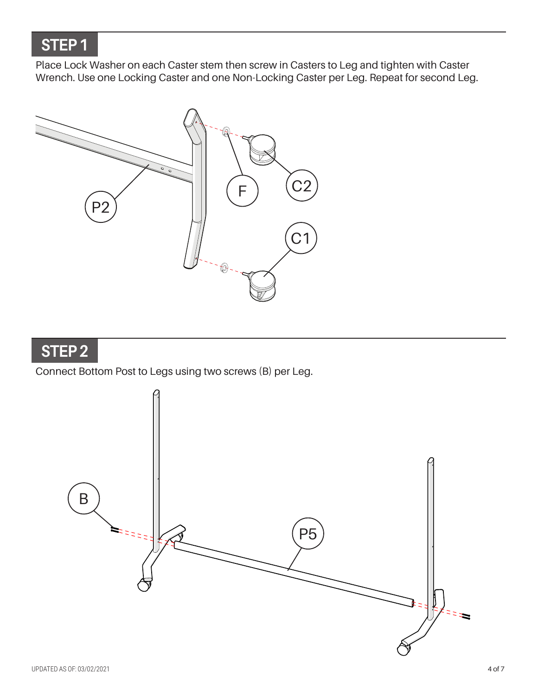### **STEP 1**

Place Lock Washer on each Caster stem then screw in Casters to Leg and tighten with Caster Wrench. Use one Locking Caster and one Non-Locking Caster per Leg. Repeat for second Leg.



### **STEP 2**

### Connect Bottom Post to Legs using two screws (B) per Leg.

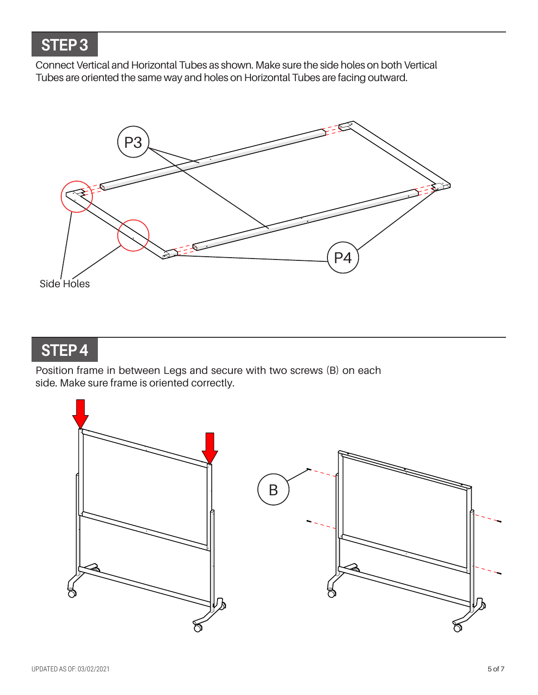## **STEP 3**

Connect Vertical and Horizontal Tubes as shown. Make sure the side holes on both Vertical Tubes are oriented the same way and holes on Horizontal Tubes are facing outward.



**STEP 4**

Position frame in between Legs and secure with two screws (B) on each side. Make sure frame is oriented correctly.

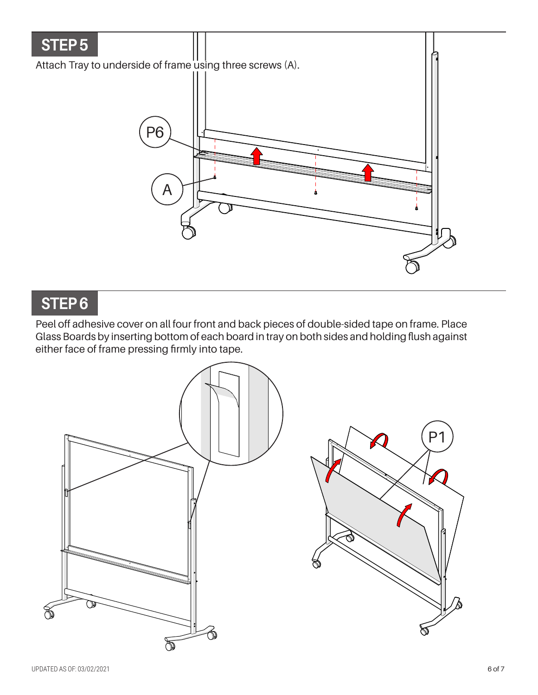

### **STEP 6**

Peel off adhesive cover on all four front and back pieces of double-sided tape on frame. Place Glass Boards by inserting bottom of each board in tray on both sides and holding flush against either face of frame pressing firmly into tape.